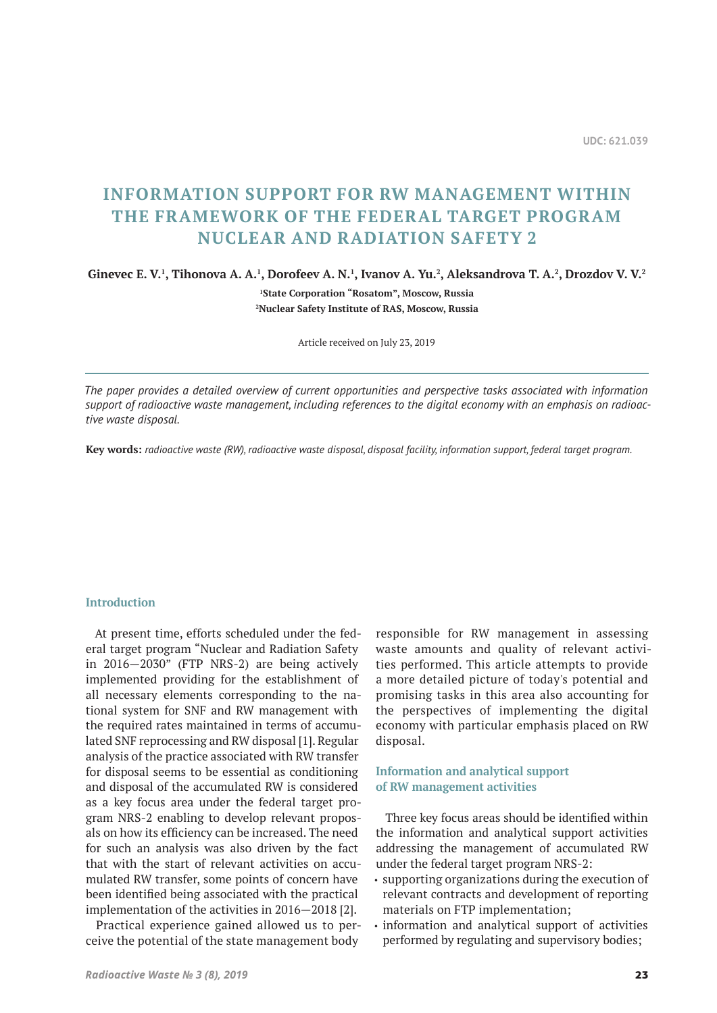# **INFORMATION SUPPORT FOR RW MANAGEMENT WITHIN THE FRAMEWORK OF THE FEDERAL TARGET PROGRAM NUCLEAR AND RADIATION SAFETY 2**

 $G$ inevec E. V.<sup>1</sup>, Tihonova A. A.<sup>1</sup>, Dorofeev A. N.<sup>1</sup>, Ivanov A. Yu.<sup>2</sup>, Aleksandrova T. A.<sup>2</sup>, Drozdov V. V.<sup>2</sup>

**1 State Corporation "Rosatom", Moscow, Russia**

**2 Nuclear Safety Institute of RAS, Moscow, Russia**

Article received on July 23, 2019

*The paper provides a detailed overview of current opportunities and perspective tasks associated with information support of radioactive waste management, including references to the digital economy with an emphasis on radioactive waste disposal.*

**Key words:** *radioactive waste (RW), radioactive waste disposal, disposal facility, information support, federal target program.*

## **Introduction**

At present time, efforts scheduled under the federal target program "Nuclear and Radiation Safety in 2016—2030" (FTP NRS-2) are being actively implemented providing for the establishment of all necessary elements corresponding to the national system for SNF and RW management with the required rates maintained in terms of accumulated SNF reprocessing and RW disposal [1]. Regular analysis of the practice associated with RW transfer for disposal seems to be essential as conditioning and disposal of the accumulated RW is considered as a key focus area under the federal target program NRS-2 enabling to develop relevant proposals on how its efficiency can be increased. The need for such an analysis was also driven by the fact that with the start of relevant activities on accumulated RW transfer, some points of concern have been identified being associated with the practical implementation of the activities in 2016—2018 [2].

Practical experience gained allowed us to perceive the potential of the state management body

responsible for RW management in assessing waste amounts and quality of relevant activities performed. This article attempts to provide a more detailed picture of today's potential and promising tasks in this area also accounting for the perspectives of implementing the digital economy with particular emphasis placed on RW disposal.

# **Information and analytical support of RW management activities**

Three key focus areas should be identified within the information and analytical support activities addressing the management of accumulated RW under the federal target program NRS-2:

- supporting organizations during the execution of relevant contracts and development of reporting materials on FTP implementation;
- information and analytical support of activities performed by regulating and supervisory bodies;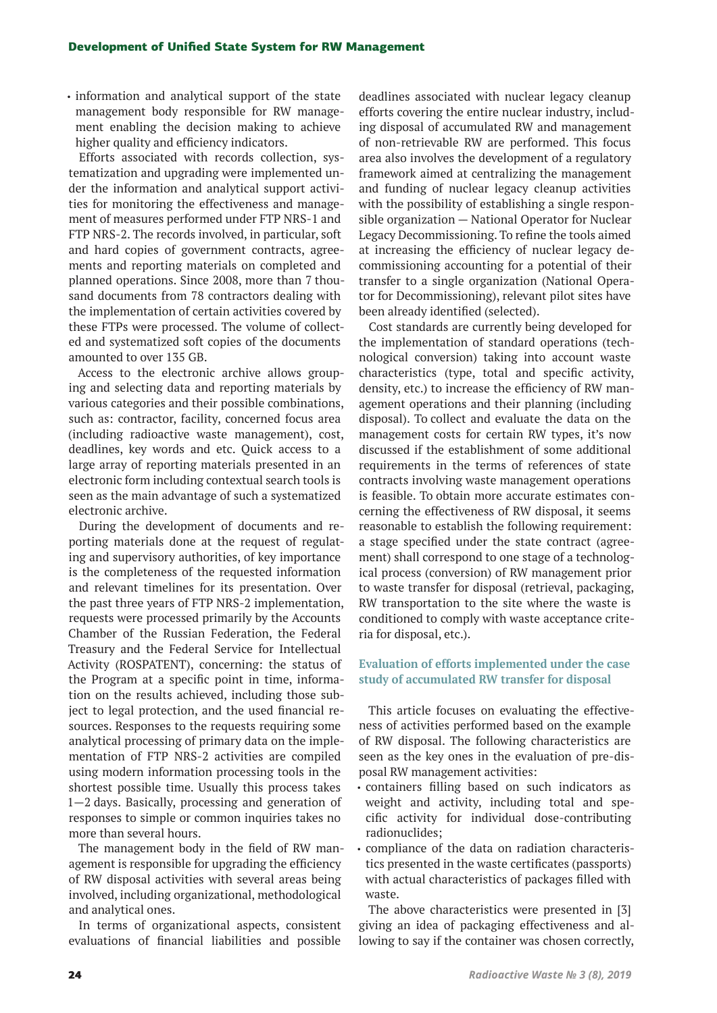• information and analytical support of the state management body responsible for RW management enabling the decision making to achieve higher quality and efficiency indicators.

Efforts associated with records collection, systematization and upgrading were implemented under the information and analytical support activities for monitoring the effectiveness and management of measures performed under FTP NRS-1 and FTP NRS-2. The records involved, in particular, soft and hard copies of government contracts, agreements and reporting materials on completed and planned operations. Since 2008, more than 7 thousand documents from 78 contractors dealing with the implementation of certain activities covered by these FTPs were processed. The volume of collected and systematized soft copies of the documents amounted to over 135 GB.

Access to the electronic archive allows grouping and selecting data and reporting materials by various categories and their possible combinations, such as: contractor, facility, concerned focus area (including radioactive waste management), cost, deadlines, key words and etc. Quick access to a large array of reporting materials presented in an electronic form including contextual search tools is seen as the main advantage of such a systematized electronic archive.

During the development of documents and reporting materials done at the request of regulating and supervisory authorities, of key importance is the completeness of the requested information and relevant timelines for its presentation. Over the past three years of FTP NRS-2 implementation, requests were processed primarily by the Accounts Chamber of the Russian Federation, the Federal Treasury and the Federal Service for Intellectual Activity (ROSPATENT), concerning: the status of the Program at a specific point in time, information on the results achieved, including those subject to legal protection, and the used financial resources. Responses to the requests requiring some analytical processing of primary data on the implementation of FTP NRS-2 activities are compiled using modern information processing tools in the shortest possible time. Usually this process takes 1—2 days. Basically, processing and generation of responses to simple or common inquiries takes no more than several hours.

The management body in the field of RW management is responsible for upgrading the efficiency of RW disposal activities with several areas being involved, including organizational, methodological and analytical ones.

In terms of organizational aspects, consistent evaluations of financial liabilities and possible deadlines associated with nuclear legacy cleanup efforts covering the entire nuclear industry, including disposal of accumulated RW and management of non-retrievable RW are performed. This focus area also involves the development of a regulatory framework aimed at centralizing the management and funding of nuclear legacy cleanup activities with the possibility of establishing a single responsible organization — National Operator for Nuclear Legacy Decommissioning. To refine the tools aimed at increasing the efficiency of nuclear legacy decommissioning accounting for a potential of their transfer to a single organization (National Operator for Decommissioning), relevant pilot sites have been already identified (selected).

Cost standards are currently being developed for the implementation of standard operations (technological conversion) taking into account waste characteristics (type, total and specific activity, density, etc.) to increase the efficiency of RW management operations and their planning (including disposal). To collect and evaluate the data on the management costs for certain RW types, it's now discussed if the establishment of some additional requirements in the terms of references of state contracts involving waste management operations is feasible. To obtain more accurate estimates concerning the effectiveness of RW disposal, it seems reasonable to establish the following requirement: a stage specified under the state contract (agreement) shall correspond to one stage of a technological process (conversion) of RW management prior to waste transfer for disposal (retrieval, packaging, RW transportation to the site where the waste is conditioned to comply with waste acceptance criteria for disposal, etc.).

## **Evaluation of efforts implemented under the case study of accumulated RW transfer for disposal**

This article focuses on evaluating the effectiveness of activities performed based on the example of RW disposal. The following characteristics are seen as the key ones in the evaluation of pre-disposal RW management activities:

- containers filling based on such indicators as weight and activity, including total and specific activity for individual dose-contributing radionuclides;
- compliance of the data on radiation characteristics presented in the waste certificates (passports) with actual characteristics of packages filled with waste.

The above characteristics were presented in [3] giving an idea of packaging effectiveness and allowing to say if the container was chosen correctly,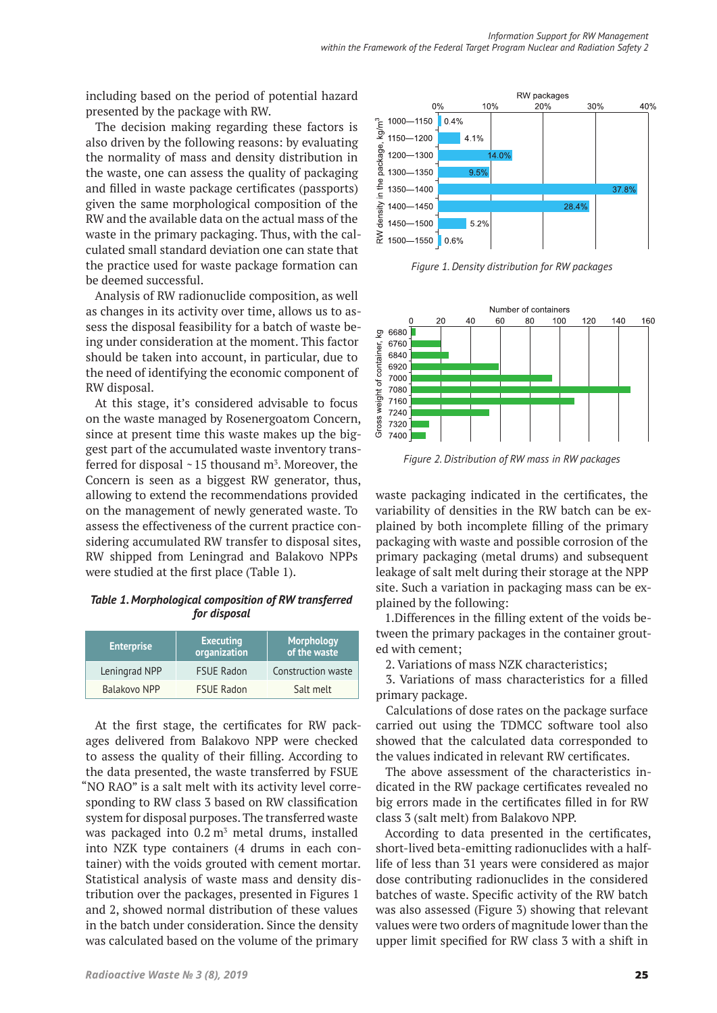including based on the period of potential hazard presented by the package with RW.

The decision making regarding these factors is also driven by the following reasons: by evaluating the normality of mass and density distribution in the waste, one can assess the quality of packaging and filled in waste package certificates (passports) given the same morphological composition of the RW and the available data on the actual mass of the waste in the primary packaging. Thus, with the calculated small standard deviation one can state that the practice used for waste package formation can be deemed successful.

Analysis of RW radionuclide composition, as well as changes in its activity over time, allows us to assess the disposal feasibility for a batch of waste being under consideration at the moment. This factor should be taken into account, in particular, due to the need of identifying the economic component of RW disposal.

At this stage, it's considered advisable to focus on the waste managed by Rosenergoatom Concern, since at present time this waste makes up the biggest part of the accumulated waste inventory transferred for disposal  $\sim$  15 thousand m<sup>3</sup>. Moreover, the Concern is seen as a biggest RW generator, thus, allowing to extend the recommendations provided on the management of newly generated waste. To assess the effectiveness of the current practice considering accumulated RW transfer to disposal sites, RW shipped from Leningrad and Balakovo NPPs were studied at the first place (Table 1).

*Table 1. Morphological composition of RW transferred for disposal*

| <b>Enterprise</b>   | <b>Executing</b><br>organization | Morphology<br>of the waste |
|---------------------|----------------------------------|----------------------------|
| Leningrad NPP       | <b>FSUE Radon</b>                | Construction waste         |
| <b>Balakovo NPP</b> | <b>FSUE Radon</b>                | Salt melt                  |

At the first stage, the certificates for RW packages delivered from Balakovo NPP were checked to assess the quality of their filling. According to the data presented, the waste transferred by FSUE "NO RAO" is a salt melt with its activity level corresponding to RW class 3 based on RW classification system for disposal purposes. The transferred waste was packaged into  $0.2 \text{ m}^3$  metal drums, installed into NZK type containers (4 drums in each container) with the voids grouted with cement mortar. Statistical analysis of waste mass and density distribution over the packages, presented in Figures 1 and 2, showed normal distribution of these values in the batch under consideration. Since the density was calculated based on the volume of the primary



*Figure 1. Density distribution for RW packages*



*Figure 2. Distribution of RW mass in RW packages*

waste packaging indicated in the certificates, the variability of densities in the RW batch can be explained by both incomplete filling of the primary packaging with waste and possible corrosion of the primary packaging (metal drums) and subsequent leakage of salt melt during their storage at the NPP site. Such a variation in packaging mass can be explained by the following:

1.Differences in the filling extent of the voids between the primary packages in the container grouted with cement;

2. Variations of mass NZK characteristics;

3. Variations of mass characteristics for a filled primary package.

Calculations of dose rates on the package surface carried out using the TDMCC software tool also showed that the calculated data corresponded to the values indicated in relevant RW certificates.

The above assessment of the characteristics indicated in the RW package certificates revealed no big errors made in the certificates filled in for RW class 3 (salt melt) from Balakovo NPP.

According to data presented in the certificates, short-lived beta-emitting radionuclides with a halflife of less than 31 years were considered as major dose contributing radionuclides in the considered batches of waste. Specific activity of the RW batch was also assessed (Figure 3) showing that relevant values were two orders of magnitude lower than the upper limit specified for RW class 3 with a shift in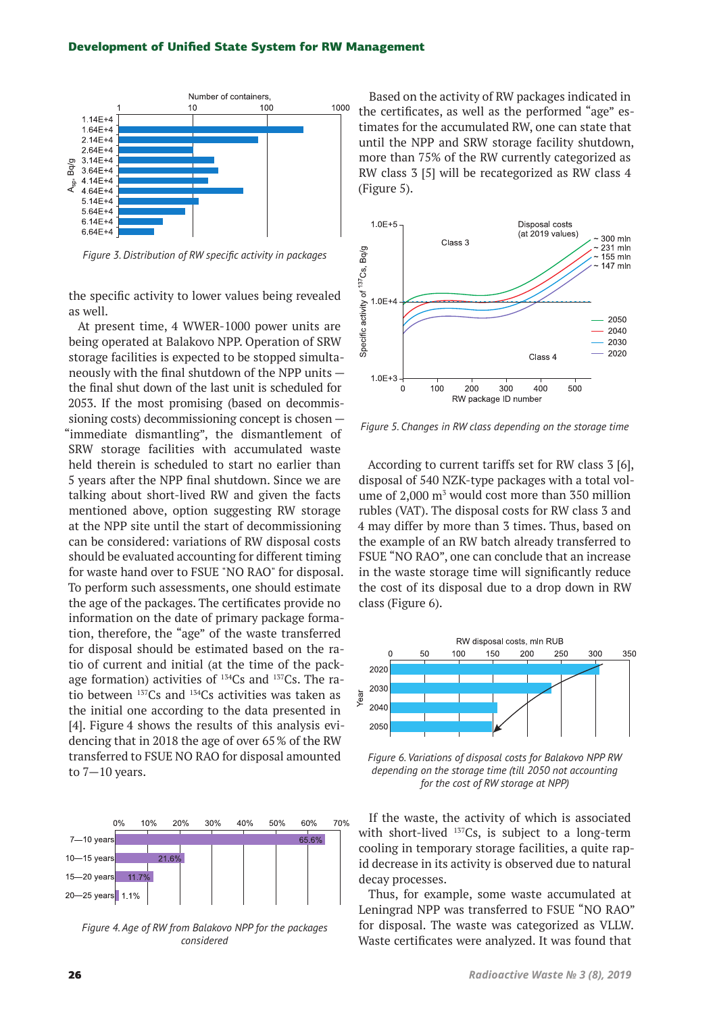#### Development of Unified State System for RW Management



*Figure 3. Distribution of RW specific activity in packages*

the specific activity to lower values being revealed as well.

At present time, 4 WWER-1000 power units are being operated at Balakovo NPP. Operation of SRW storage facilities is expected to be stopped simultaneously with the final shutdown of the NPP units the final shut down of the last unit is scheduled for 2053. If the most promising (based on decommissioning costs) decommissioning concept is chosen — "immediate dismantling", the dismantlement of SRW storage facilities with accumulated waste held therein is scheduled to start no earlier than 5 years after the NPP final shutdown. Since we are talking about short-lived RW and given the facts mentioned above, option suggesting RW storage at the NPP site until the start of decommissioning can be considered: variations of RW disposal costs should be evaluated accounting for different timing for waste hand over to FSUE "NO RAO" for disposal. To perform such assessments, one should estimate the age of the packages. The certificates provide no information on the date of primary package formation, therefore, the "age" of the waste transferred for disposal should be estimated based on the ratio of current and initial (at the time of the package formation) activities of  $134Cs$  and  $137Cs$ . The ratio between 137Cs and 134Cs activities was taken as the initial one according to the data presented in [4]. Figure 4 shows the results of this analysis evidencing that in 2018 the age of over 65% of the RW transferred to FSUE NO RAO for disposal amounted to 7—10 years.



*Figure 4. Age of RW from Balakovo NPP for the packages considered*

Based on the activity of RW packages indicated in the certificates, as well as the performed "age" estimates for the accumulated RW, one can state that until the NPP and SRW storage facility shutdown, more than 75% of the RW currently categorized as RW class 3 [5] will be recategorized as RW class 4 (Figure 5).



*Figure 5. Changes in RW class depending on the storage time*

According to current tariffs set for RW class 3 [6], disposal of 540 NZK-type packages with a total volume of  $2,000 \text{ m}^3$  would cost more than 350 million rubles (VAT). The disposal costs for RW class 3 and 4 may differ by more than 3 times. Thus, based on the example of an RW batch already transferred to FSUE "NO RAO", one can conclude that an increase in the waste storage time will significantly reduce the cost of its disposal due to a drop down in RW class (Figure 6).



*Figure 6. Variations of disposal costs for Balakovo NPP RW depending on the storage time (till 2050 not accounting for the cost of RW storage at NPP)*

If the waste, the activity of which is associated with short-lived <sup>137</sup>Cs, is subject to a long-term cooling in temporary storage facilities, a quite rapid decrease in its activity is observed due to natural decay processes.

Thus, for example, some waste accumulated at Leningrad NPP was transferred to FSUE "NO RAO" for disposal. The waste was categorized as VLLW. Waste certificates were analyzed. It was found that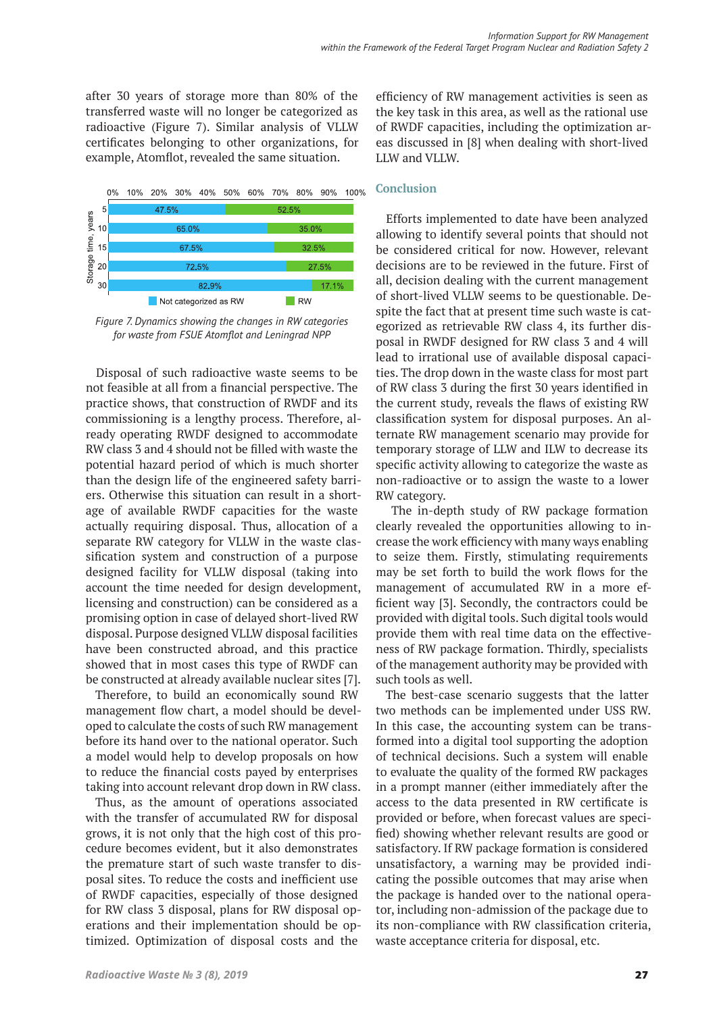after 30 years of storage more than 80% of the transferred waste will no longer be categorized as radioactive (Figure 7). Similar analysis of VLLW certificates belonging to other organizations, for example, Atomflot, revealed the same situation.



*Figure 7. Dynamics showing the changes in RW categories for waste from FSUE Atomflot and Leningrad NPP*

Disposal of such radioactive waste seems to be not feasible at all from a financial perspective. The practice shows, that construction of RWDF and its commissioning is a lengthy process. Therefore, already operating RWDF designed to accommodate RW class 3 and 4 should not be filled with waste the potential hazard period of which is much shorter than the design life of the engineered safety barriers. Otherwise this situation can result in a shortage of available RWDF capacities for the waste actually requiring disposal. Thus, allocation of a separate RW category for VLLW in the waste classification system and construction of a purpose designed facility for VLLW disposal (taking into account the time needed for design development, licensing and construction) can be considered as a promising option in case of delayed short-lived RW disposal. Purpose designed VLLW disposal facilities have been constructed abroad, and this practice showed that in most cases this type of RWDF can be constructed at already available nuclear sites [7].

Therefore, to build an economically sound RW management flow chart, a model should be developed to calculate the costs of such RW management before its hand over to the national operator. Such a model would help to develop proposals on how to reduce the financial costs payed by enterprises taking into account relevant drop down in RW class.

Thus, as the amount of operations associated with the transfer of accumulated RW for disposal grows, it is not only that the high cost of this procedure becomes evident, but it also demonstrates the premature start of such waste transfer to disposal sites. To reduce the costs and inefficient use of RWDF capacities, especially of those designed for RW class 3 disposal, plans for RW disposal operations and their implementation should be optimized. Optimization of disposal costs and the

efficiency of RW management activities is seen as the key task in this area, as well as the rational use of RWDF capacities, including the optimization areas discussed in [8] when dealing with short-lived LLW and VLLW.

## **Conclusion**

Efforts implemented to date have been analyzed allowing to identify several points that should not be considered critical for now. However, relevant decisions are to be reviewed in the future. First of all, decision dealing with the current management of short-lived VLLW seems to be questionable. Despite the fact that at present time such waste is categorized as retrievable RW class 4, its further disposal in RWDF designed for RW class 3 and 4 will lead to irrational use of available disposal capacities. The drop down in the waste class for most part of RW class 3 during the first 30 years identified in the current study, reveals the flaws of existing RW classification system for disposal purposes. An alternate RW management scenario may provide for temporary storage of LLW and ILW to decrease its specific activity allowing to categorize the waste as non-radioactive or to assign the waste to a lower RW category.

 The in-depth study of RW package formation clearly revealed the opportunities allowing to increase the work efficiency with many ways enabling to seize them. Firstly, stimulating requirements may be set forth to build the work flows for the management of accumulated RW in a more efficient way [3]. Secondly, the contractors could be provided with digital tools. Such digital tools would provide them with real time data on the effectiveness of RW package formation. Thirdly, specialists of the management authority may be provided with such tools as well.

The best-case scenario suggests that the latter two methods can be implemented under USS RW. In this case, the accounting system can be transformed into a digital tool supporting the adoption of technical decisions. Such a system will enable to evaluate the quality of the formed RW packages in a prompt manner (either immediately after the access to the data presented in RW certificate is provided or before, when forecast values are specified) showing whether relevant results are good or satisfactory. If RW package formation is considered unsatisfactory, a warning may be provided indicating the possible outcomes that may arise when the package is handed over to the national operator, including non-admission of the package due to its non-compliance with RW classification criteria, waste acceptance criteria for disposal, etc.